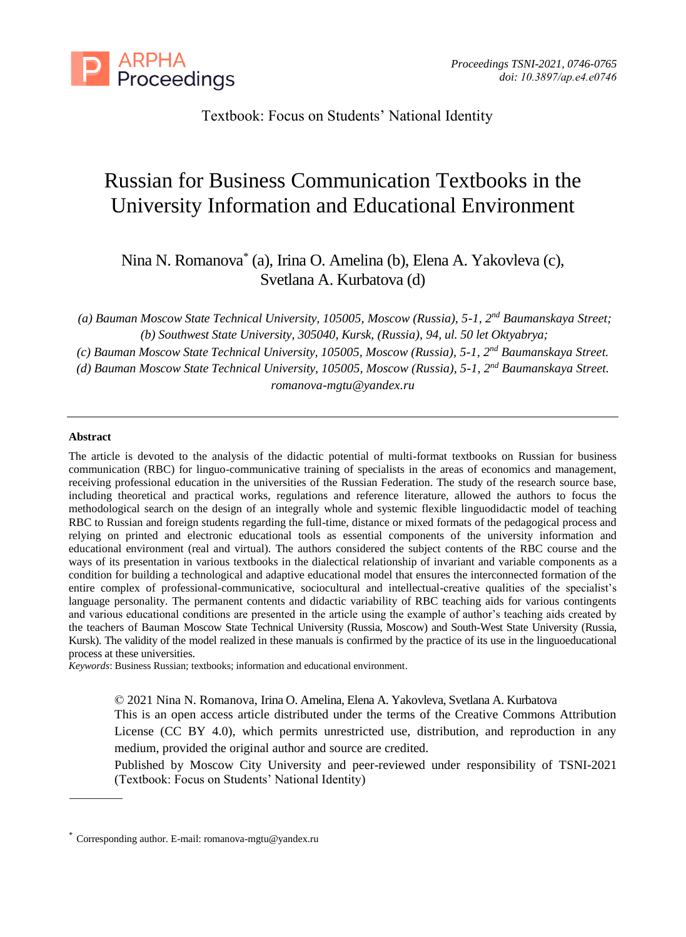

Textbook: Focus on Students' National Identity

# Russian for Business Communication Textbooks in the University Information and Educational Environment

Nina N. Romanova\* (a), Irina O. Amelina (b), Elena A. Yakovleva (c), Svetlana A. Kurbatova (d)

*(a) Bauman Moscow State Technical University, 105005, Moscow (Russia), 5-1, 2nd Baumanskaya Street; (b) Southwest State University, 305040, Kursk, (Russia), 94, ul. 50 let Oktyabrya;*

*(c) Bauman Moscow State Technical University, 105005, Moscow (Russia), 5-1, 2nd Baumanskaya Street.*

*(d) Bauman Moscow State Technical University, 105005, Moscow (Russia), 5-1, 2nd Baumanskaya Street.*

*[romanova-mgtu@yandex.ru](mailto:romanova-mgtu@yandex.ru)*

# **Abstract**

The article is devoted to the analysis of the didactic potential of multi-format textbooks on Russian for business communication (RBC) for linguo-communicative training of specialists in the areas of economics and management, receiving professional education in the universities of the Russian Federation. The study of the research source base, including theoretical and practical works, regulations and reference literature, allowed the authors to focus the methodological search on the design of an integrally whole and systemic flexible linguodidactic model of teaching RBC to Russian and foreign students regarding the full-time, distance or mixed formats of the pedagogical process and relying on printed and electronic educational tools as essential components of the university information and educational environment (real and virtual). The authors considered the subject contents of the RBC course and the ways of its presentation in various textbooks in the dialectical relationship of invariant and variable components as a condition for building a technological and adaptive educational model that ensures the interconnected formation of the entire complex of professional-communicative, sociocultural and intellectual-creative qualities of the specialist's language personality. The permanent contents and didactic variability of RBC teaching aids for various contingents and various educational conditions are presented in the article using the example of author's teaching aids created by the teachers of Bauman Moscow State Technical University (Russia, Moscow) and South-West State University (Russia, Kursk). The validity of the model realized in these manuals is confirmed by the practice of its use in the linguoeducational process at these universities.

*Keywords*: Business Russian; textbooks; information and educational environment.

© 2021 Nina N. Romanova, Irina O. Amelina, Elena A. Yakovleva, Svetlana A. Kurbatova

This is an open access article distributed under the terms of the Creative Commons Attribution License (CC BY 4.0), which permits unrestricted use, distribution, and reproduction in any medium, provided the original author and source are credited.

Published by Moscow City University and peer-reviewed under responsibility of TSNI-2021 (Textbook: Focus on Students' National Identity)

<sup>\*</sup> Corresponding author. E-mail[: romanova-mgtu@yandex.ru](mailto:romanova-mgtu@yandex.ru)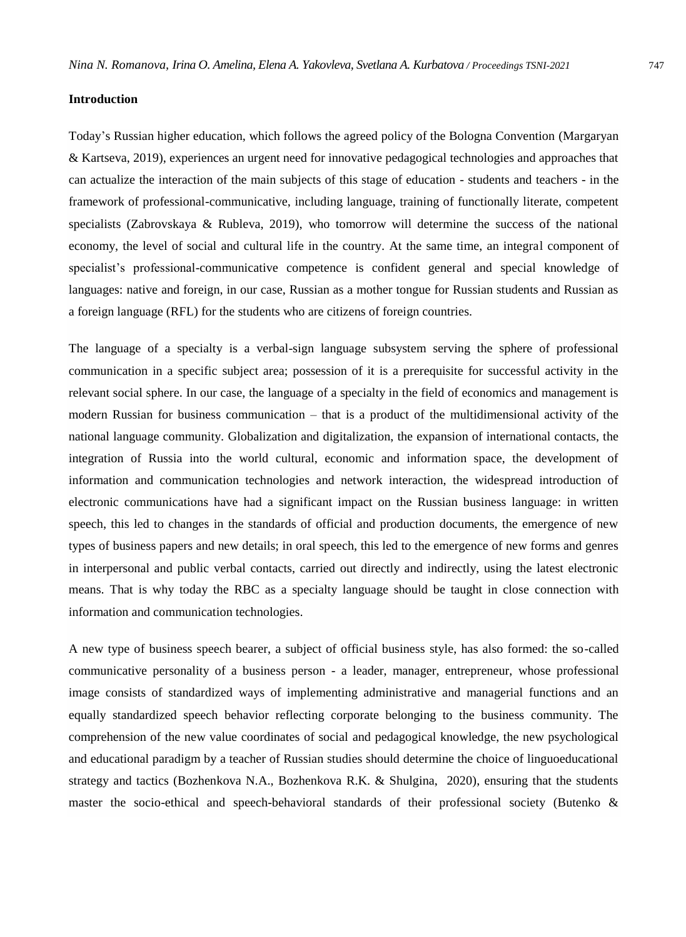#### **Introduction**

Today's Russian higher education, which follows the agreed policy of the Bologna Convention (Margaryan & Kartseva, 2019), experiences an urgent need for innovative pedagogical technologies and approaches that can actualize the interaction of the main subjects of this stage of education - students and teachers - in the framework of professional-communicative, including language, training of functionally literate, competent specialists (Zabrovskaya & Rubleva, 2019), who tomorrow will determine the success of the national economy, the level of social and cultural life in the country. At the same time, an integral component of specialist's professional-communicative competence is confident general and special knowledge of languages: native and foreign, in our case, Russian as a mother tongue for Russian students and Russian as a foreign language (RFL) for the students who are citizens of foreign countries.

The language of a specialty is a verbal-sign language subsystem serving the sphere of professional communication in a specific subject area; possession of it is a prerequisite for successful activity in the relevant social sphere. In our case, the language of a specialty in the field of economics and management is modern Russian for business communication – that is a product of the multidimensional activity of the national language community. Globalization and digitalization, the expansion of international contacts, the integration of Russia into the world cultural, economic and information space, the development of information and communication technologies and network interaction, the widespread introduction of electronic communications have had a significant impact on the Russian business language: in written speech, this led to changes in the standards of official and production documents, the emergence of new types of business papers and new details; in oral speech, this led to the emergence of new forms and genres in interpersonal and public verbal contacts, carried out directly and indirectly, using the latest electronic means. That is why today the RBC as a specialty language should be taught in close connection with information and communication technologies.

A new type of business speech bearer, a subject of official business style, has also formed: the so-called communicative personality of a business person - a leader, manager, entrepreneur, whose professional image consists of standardized ways of implementing administrative and managerial functions and an equally standardized speech behavior reflecting corporate belonging to the business community. The comprehension of the new value coordinates of social and pedagogical knowledge, the new psychological and educational paradigm by a teacher of Russian studies should determine the choice of linguoeducational strategy and tactics (Bozhenkova N.A., Bozhenkova R.K. & Shulgina, 2020), ensuring that the students master the socio-ethical and speech-behavioral standards of their professional society (Butenko &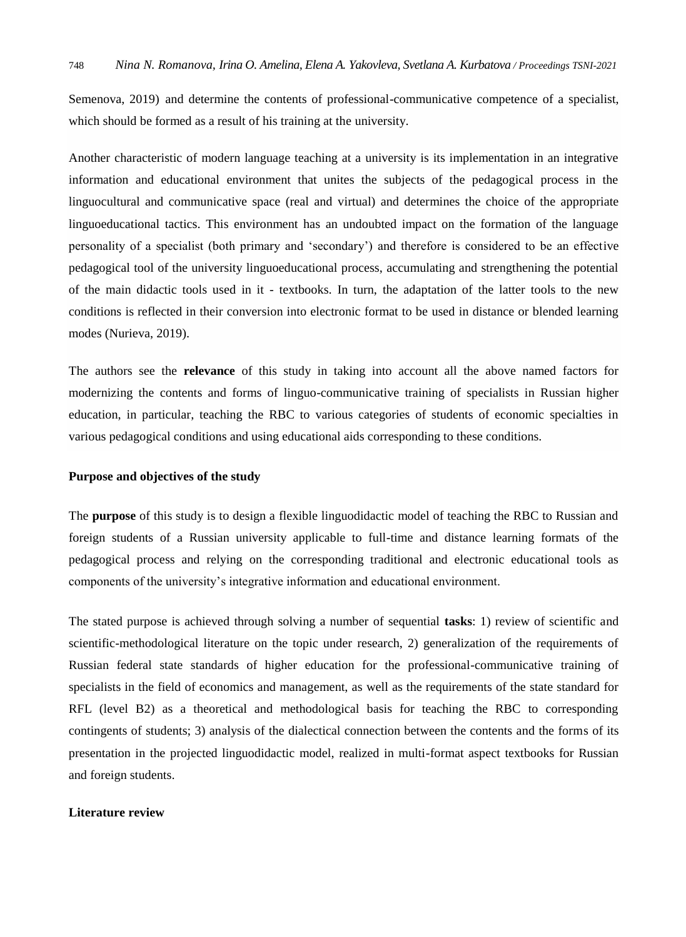Semenova, 2019) and determine the contents of professional-communicative competence of a specialist, which should be formed as a result of his training at the university.

Another characteristic of modern language teaching at a university is its implementation in an integrative information and educational environment that unites the subjects of the pedagogical process in the linguocultural and communicative space (real and virtual) and determines the choice of the appropriate linguoeducational tactics. This environment has an undoubted impact on the formation of the language personality of a specialist (both primary and 'secondary') and therefore is considered to be an effective pedagogical tool of the university linguoeducational process, accumulating and strengthening the potential of the main didactic tools used in it - textbooks. In turn, the adaptation of the latter tools to the new conditions is reflected in their conversion into electronic format to be used in distance or blended learning modes (Nurieva, 2019).

The authors see the **relevance** of this study in taking into account all the above named factors for modernizing the contents and forms of linguo-communicative training of specialists in Russian higher education, in particular, teaching the RBC to various categories of students of economic specialties in various pedagogical conditions and using educational aids corresponding to these conditions.

### **Purpose and objectives of the study**

The **purpose** of this study is to design a flexible linguodidactic model of teaching the RBC to Russian and foreign students of a Russian university applicable to full-time and distance learning formats of the pedagogical process and relying on the corresponding traditional and electronic educational tools as components of the university's integrative information and educational environment.

The stated purpose is achieved through solving a number of sequential **tasks**: 1) review of scientific and scientific-methodological literature on the topic under research, 2) generalization of the requirements of Russian federal state standards of higher education for the professional-communicative training of specialists in the field of economics and management, as well as the requirements of the state standard for RFL (level B2) as a theoretical and methodological basis for teaching the RBC to corresponding contingents of students; 3) analysis of the dialectical connection between the contents and the forms of its presentation in the projected linguodidactic model, realized in multi-format aspect textbooks for Russian and foreign students.

# **Literature review**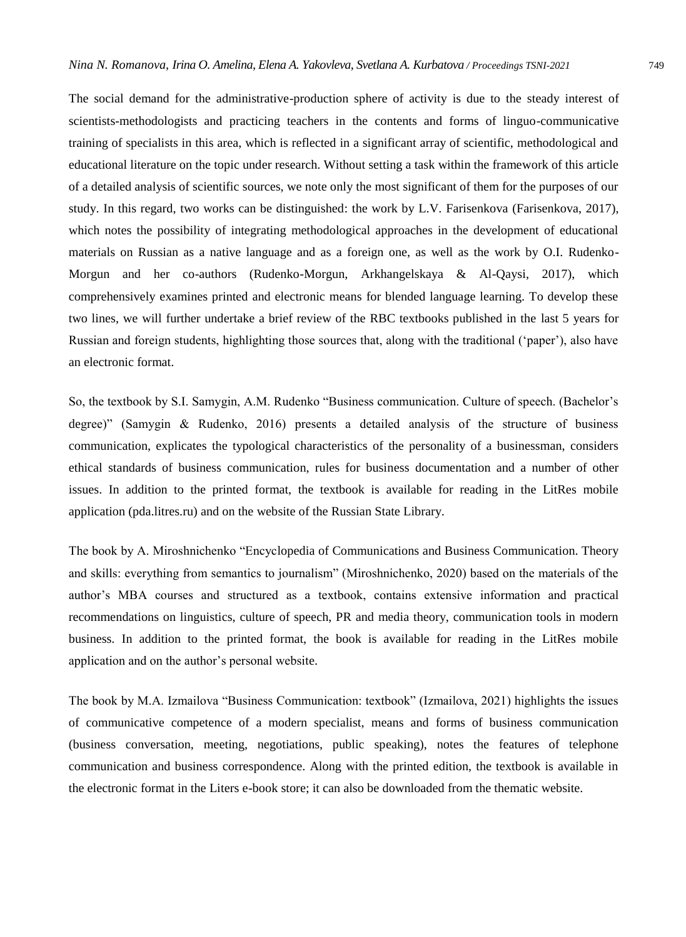The social demand for the administrative-production sphere of activity is due to the steady interest of scientists-methodologists and practicing teachers in the contents and forms of linguo-communicative training of specialists in this area, which is reflected in a significant array of scientific, methodological and educational literature on the topic under research. Without setting a task within the framework of this article of a detailed analysis of scientific sources, we note only the most significant of them for the purposes of our study. In this regard, two works can be distinguished: the work by L.V. Farisenkova (Farisenkova, 2017), which notes the possibility of integrating methodological approaches in the development of educational materials on Russian as a native language and as a foreign one, as well as the work by O.I. Rudenko-Morgun and her co-authors (Rudenko-Morgun, Arkhangelskaya & Al-Qaysi, 2017), which comprehensively examines printed and electronic means for blended language learning. To develop these two lines, we will further undertake a brief review of the RBC textbooks published in the last 5 years for Russian and foreign students, highlighting those sources that, along with the traditional ('paper'), also have an electronic format.

So, the textbook by S.I. Samygin, A.M. Rudenko "Business communication. Culture of speech. (Bachelor's degree)" (Samygin & Rudenko, 2016) presents a detailed analysis of the structure of business communication, explicates the typological characteristics of the personality of a businessman, considers ethical standards of business communication, rules for business documentation and a number of other issues. In addition to the printed format, the textbook is available for reading in the LitRes mobile application (pda.litres.ru) and on the website of the Russian State Library.

The book by A. Miroshnichenko "Encyclopedia of Communications and Business Communication. Theory and skills: everything from semantics to journalism" (Miroshnichenko, 2020) based on the materials of the author's MBA courses and structured as a textbook, contains extensive information and practical recommendations on linguistics, culture of speech, PR and media theory, communication tools in modern business. In addition to the printed format, the book is available for reading in the LitRes mobile application and on the author's personal website.

The book by M.A. Izmailova "Business Communication: textbook" (Izmailova, 2021) highlights the issues of communicative competence of a modern specialist, means and forms of business communication (business conversation, meeting, negotiations, public speaking), notes the features of telephone communication and business correspondence. Along with the printed edition, the textbook is available in the electronic format in the Liters e-book store; it can also be downloaded from the thematic website.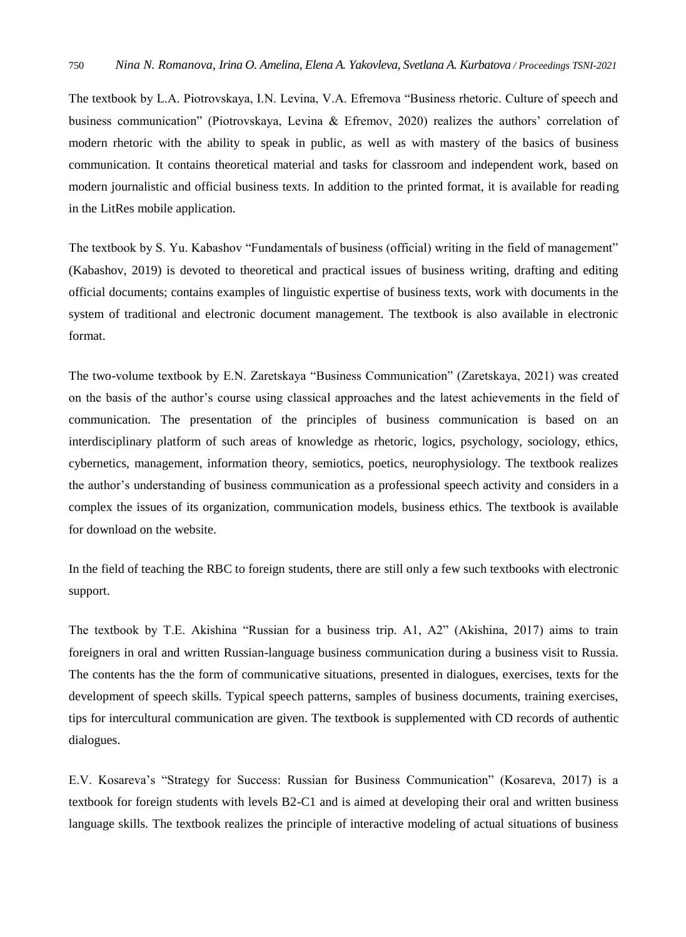The textbook by L.A. Piotrovskaya, I.N. Levina, V.A. Efremova "Business rhetoric. Culture of speech and business communication" (Piotrovskaya, Levina & Efremov, 2020) realizes the authors' correlation of modern rhetoric with the ability to speak in public, as well as with mastery of the basics of business communication. It contains theoretical material and tasks for classroom and independent work, based on modern journalistic and official business texts. In addition to the printed format, it is available for reading in the LitRes mobile application.

The textbook by S. Yu. Kabashov "Fundamentals of business (official) writing in the field of management" (Kabashov, 2019) is devoted to theoretical and practical issues of business writing, drafting and editing official documents; contains examples of linguistic expertise of business texts, work with documents in the system of traditional and electronic document management. The textbook is also available in electronic format.

The two-volume textbook by E.N. Zaretskaya "Business Communication" (Zaretskaya, 2021) was created on the basis of the author's course using classical approaches and the latest achievements in the field of communication. The presentation of the principles of business communication is based on an interdisciplinary platform of such areas of knowledge as rhetoric, logics, psychology, sociology, ethics, cybernetics, management, information theory, semiotics, poetics, neurophysiology. The textbook realizes the author's understanding of business communication as a professional speech activity and considers in a complex the issues of its organization, communication models, business ethics. The textbook is available for download on the website.

In the field of teaching the RBC to foreign students, there are still only a few such textbooks with electronic support.

The textbook by T.E. Akishina "Russian for a business trip. A1, A2" (Akishina, 2017) aims to train foreigners in oral and written Russian-language business communication during a business visit to Russia. The contents has the the form of communicative situations, presented in dialogues, exercises, texts for the development of speech skills. Typical speech patterns, samples of business documents, training exercises, tips for intercultural communication are given. The textbook is supplemented with CD records of authentic dialogues.

E.V. Kosareva's "Strategy for Success: Russian for Business Communication" (Kosareva, 2017) is a textbook for foreign students with levels B2-C1 and is aimed at developing their oral and written business language skills. The textbook realizes the principle of interactive modeling of actual situations of business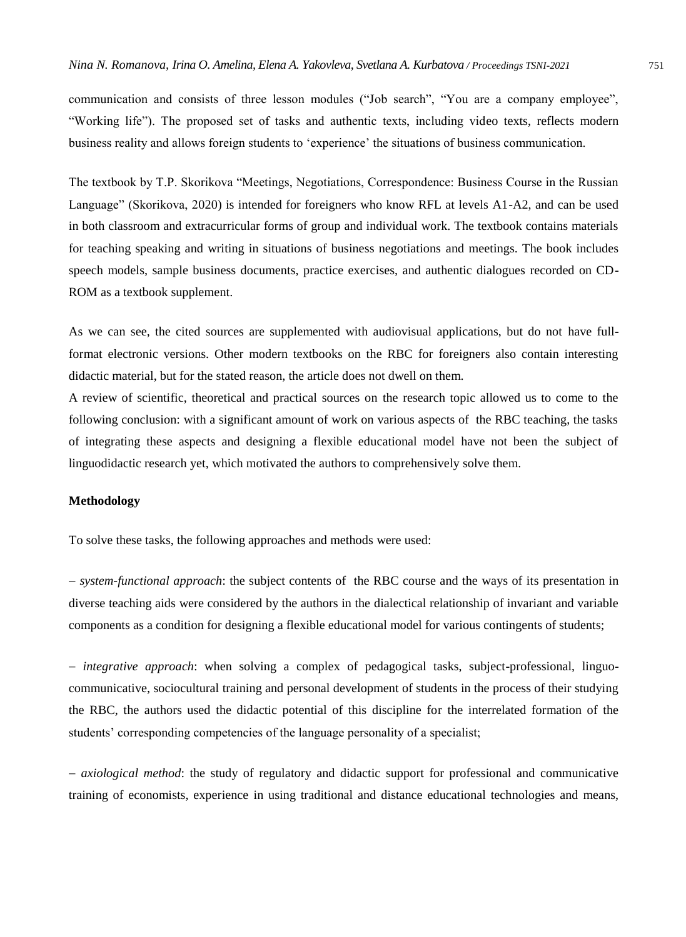communication and consists of three lesson modules ("Job search", "You are a company employee", "Working life"). The proposed set of tasks and authentic texts, including video texts, reflects modern business reality and allows foreign students to 'experience' the situations of business communication.

The textbook by T.P. Skorikova "Meetings, Negotiations, Correspondence: Business Course in the Russian Language" (Skorikova, 2020) is intended for foreigners who know RFL at levels A1-A2, and can be used in both classroom and extracurricular forms of group and individual work. The textbook contains materials for teaching speaking and writing in situations of business negotiations and meetings. The book includes speech models, sample business documents, practice exercises, and authentic dialogues recorded on CD-ROM as a textbook supplement.

As we can see, the cited sources are supplemented with audiovisual applications, but do not have fullformat electronic versions. Other modern textbooks on the RBC for foreigners also contain interesting didactic material, but for the stated reason, the article does not dwell on them.

A review of scientific, theoretical and practical sources on the research topic allowed us to come to the following conclusion: with a significant amount of work on various aspects of the RBC teaching, the tasks of integrating these aspects and designing a flexible educational model have not been the subject of linguodidactic research yet, which motivated the authors to comprehensively solve them.

#### **Methodology**

To solve these tasks, the following approaches and methods were used:

 *system-functional approach*: the subject contents of the RBC course and the ways of its presentation in diverse teaching aids were considered by the authors in the dialectical relationship of invariant and variable components as a condition for designing a flexible educational model for various contingents of students;

 *integrative approach*: when solving a complex of pedagogical tasks, subject-professional, linguocommunicative, sociocultural training and personal development of students in the process of their studying the RBC, the authors used the didactic potential of this discipline for the interrelated formation of the students' corresponding competencies of the language personality of a specialist;

 *axiological method*: the study of regulatory and didactic support for professional and communicative training of economists, experience in using traditional and distance educational technologies and means,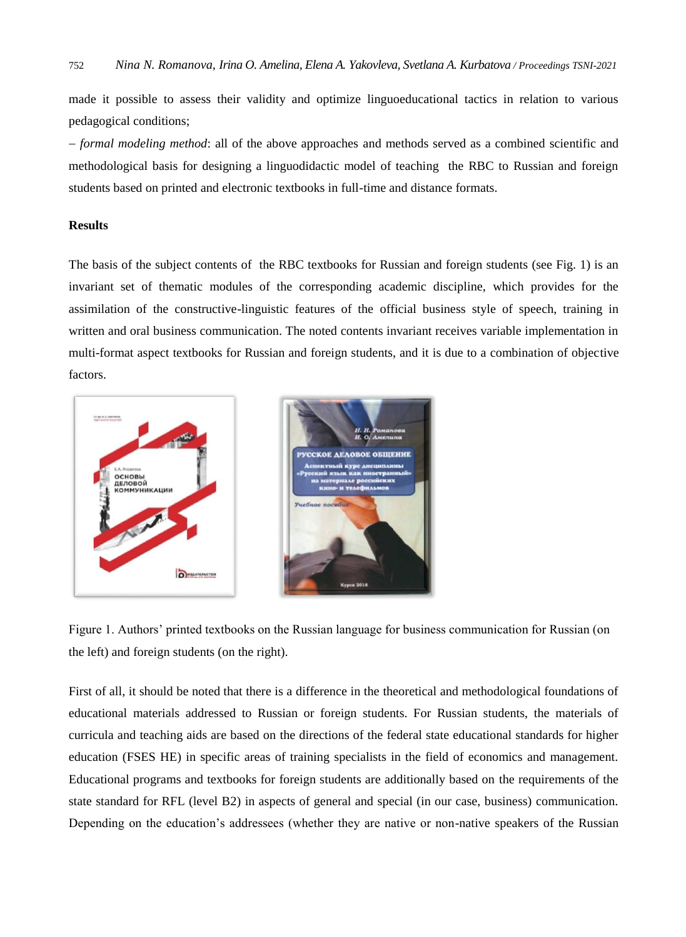made it possible to assess their validity and optimize linguoeducational tactics in relation to various pedagogical conditions;

 *formal modeling method*: all of the above approaches and methods served as a combined scientific and methodological basis for designing a linguodidactic model of teaching the RBC to Russian and foreign students based on printed and electronic textbooks in full-time and distance formats.

# **Results**

The basis of the subject contents of the RBC textbooks for Russian and foreign students (see Fig. 1) is an invariant set of thematic modules of the corresponding academic discipline, which provides for the assimilation of the constructive-linguistic features of the official business style of speech, training in written and oral business communication. The noted contents invariant receives variable implementation in multi-format aspect textbooks for Russian and foreign students, and it is due to a combination of objective factors.



Figure 1. Authors' printed textbooks on the Russian language for business communication for Russian (on the left) and foreign students (on the right).

First of all, it should be noted that there is a difference in the theoretical and methodological foundations of educational materials addressed to Russian or foreign students. For Russian students, the materials of curricula and teaching aids are based on the directions of the federal state educational standards for higher education (FSES HE) in specific areas of training specialists in the field of economics and management. Educational programs and textbooks for foreign students are additionally based on the requirements of the state standard for RFL (level B2) in aspects of general and special (in our case, business) communication. Depending on the education's addressees (whether they are native or non-native speakers of the Russian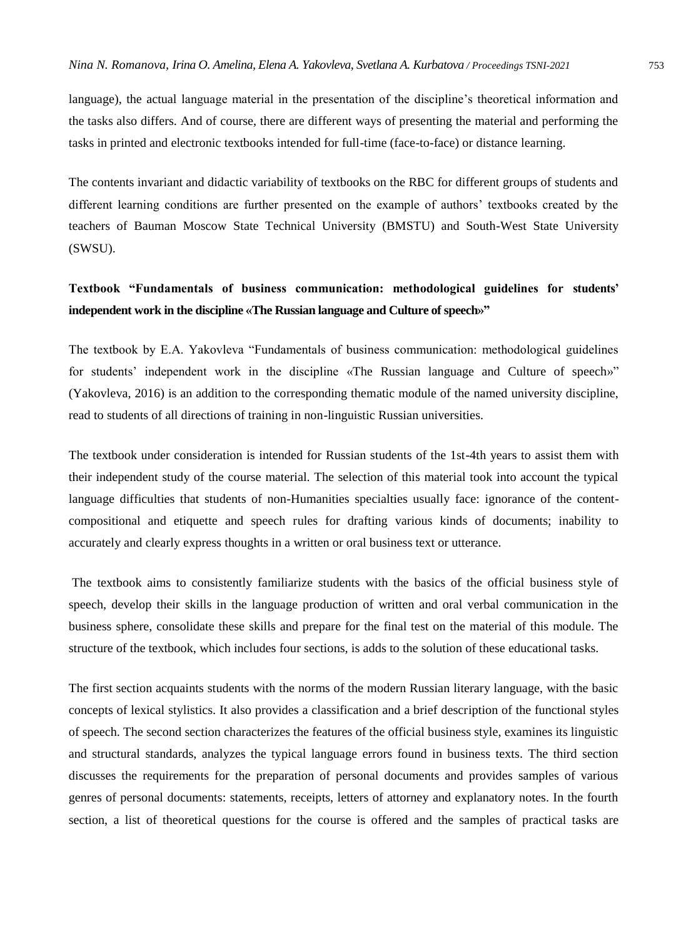language), the actual language material in the presentation of the discipline's theoretical information and the tasks also differs. And of course, there are different ways of presenting the material and performing the tasks in printed and electronic textbooks intended for full-time (face-to-face) or distance learning.

The contents invariant and didactic variability of textbooks on the RBC for different groups of students and different learning conditions are further presented on the example of authors' textbooks created by the teachers of Bauman Moscow State Technical University (BMSTU) and South-West State University (SWSU).

# **Textbook "Fundamentals of business communication: methodological guidelines for students' independent work in the discipline «The Russian language and Culture of speech»"**

The textbook by E.A. Yakovleva "Fundamentals of business communication: methodological guidelines for students' independent work in the discipline «The Russian language and Culture of speech»" (Yakovleva, 2016) is an addition to the corresponding thematic module of the named university discipline, read to students of all directions of training in non-linguistic Russian universities.

The textbook under consideration is intended for Russian students of the 1st-4th years to assist them with their independent study of the course material. The selection of this material took into account the typical language difficulties that students of non-Humanities specialties usually face: ignorance of the contentcompositional and etiquette and speech rules for drafting various kinds of documents; inability to accurately and clearly express thoughts in a written or oral business text or utterance.

The textbook aims to consistently familiarize students with the basics of the official business style of speech, develop their skills in the language production of written and oral verbal communication in the business sphere, consolidate these skills and prepare for the final test on the material of this module. The structure of the textbook, which includes four sections, is adds to the solution of these educational tasks.

The first section acquaints students with the norms of the modern Russian literary language, with the basic concepts of lexical stylistics. It also provides a classification and a brief description of the functional styles of speech. The second section characterizes the features of the official business style, examines its linguistic and structural standards, analyzes the typical language errors found in business texts. The third section discusses the requirements for the preparation of personal documents and provides samples of various genres of personal documents: statements, receipts, letters of attorney and explanatory notes. In the fourth section, a list of theoretical questions for the course is offered and the samples of practical tasks are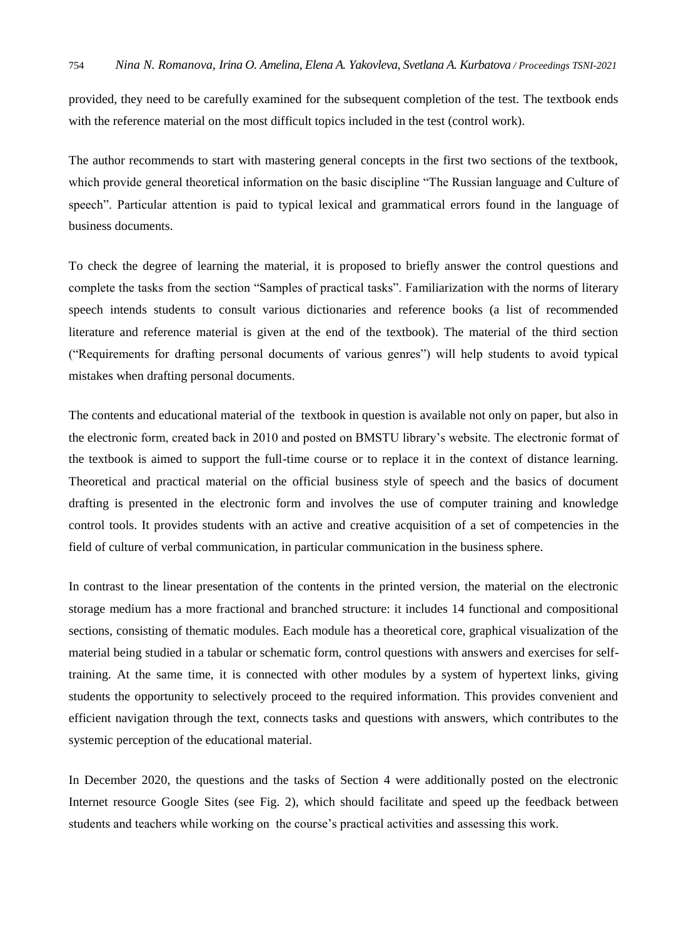provided, they need to be carefully examined for the subsequent completion of the test. The textbook ends with the reference material on the most difficult topics included in the test (control work).

The author recommends to start with mastering general concepts in the first two sections of the textbook, which provide general theoretical information on the basic discipline "The Russian language and Culture of speech". Particular attention is paid to typical lexical and grammatical errors found in the language of business documents.

To check the degree of learning the material, it is proposed to briefly answer the control questions and complete the tasks from the section "Samples of practical tasks". Familiarization with the norms of literary speech intends students to consult various dictionaries and reference books (a list of recommended literature and reference material is given at the end of the textbook). The material of the third section ("Requirements for drafting personal documents of various genres") will help students to avoid typical mistakes when drafting personal documents.

The contents and educational material of the textbook in question is available not only on paper, but also in the electronic form, created back in 2010 and posted on BMSTU library's website. The electronic format of the textbook is aimed to support the full-time course or to replace it in the context of distance learning. Theoretical and practical material on the official business style of speech and the basics of document drafting is presented in the electronic form and involves the use of computer training and knowledge control tools. It provides students with an active and creative acquisition of a set of competencies in the field of culture of verbal communication, in particular communication in the business sphere.

In contrast to the linear presentation of the contents in the printed version, the material on the electronic storage medium has a more fractional and branched structure: it includes 14 functional and compositional sections, consisting of thematic modules. Each module has a theoretical core, graphical visualization of the material being studied in a tabular or schematic form, control questions with answers and exercises for selftraining. At the same time, it is connected with other modules by a system of hypertext links, giving students the opportunity to selectively proceed to the required information. This provides convenient and efficient navigation through the text, connects tasks and questions with answers, which contributes to the systemic perception of the educational material.

In December 2020, the questions and the tasks of Section 4 were additionally posted on the electronic Internet resource Google Sites (see Fig. 2), which should facilitate and speed up the feedback between students and teachers while working on the course's practical activities and assessing this work.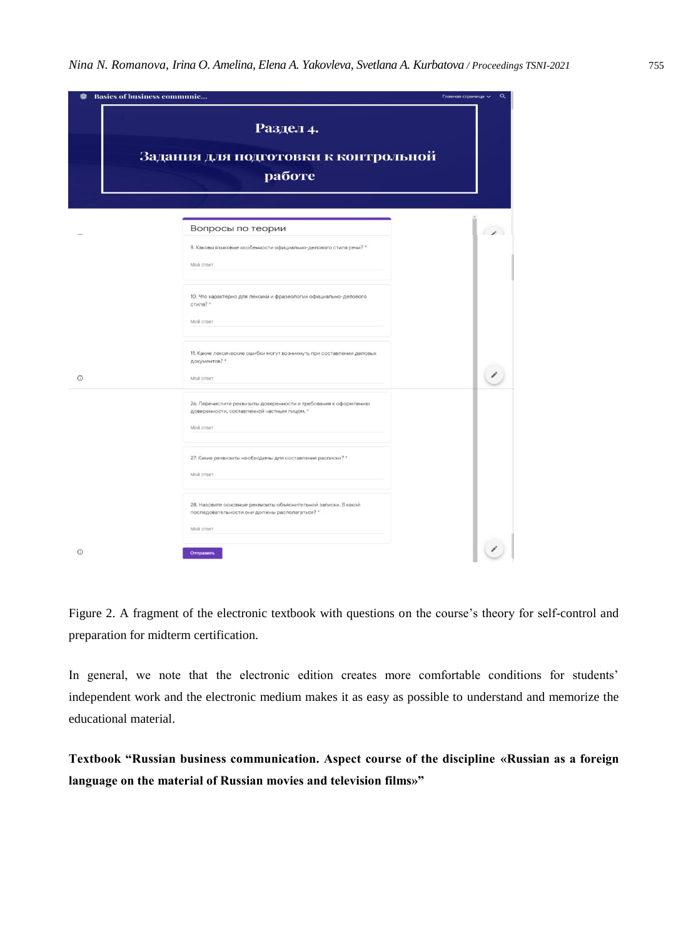| <b>Basics of business communic</b> |                                                                                                                                                    | Q<br>Главная страница V |
|------------------------------------|----------------------------------------------------------------------------------------------------------------------------------------------------|-------------------------|
|                                    | Раздел 4.<br>Задания для подготовки к контрольной<br>работе                                                                                        |                         |
|                                    | Вопросы по теории<br>9. Каковы языковые особенности официально-делового стиля речи? *<br>Moй ответ                                                 | $\overline{a}$          |
|                                    | 10. Что характерно для лексики и фразеологии официально-делового<br>стиля? *<br>Мой ответ                                                          |                         |
| $\odot$                            | 11. Какие лексические ошибки могут возникнуть при составлении деловых<br>документов? *<br>Мой ответ                                                |                         |
|                                    | 26. Перечислите реквизиты доверенности и требования к оформлению<br>доверенности, составленной частным лицом. *<br>Мой ответ                       |                         |
|                                    | 27. Какие реквизиты необходимы для составления расписки? *<br>Мой ответ                                                                            |                         |
| $\odot$                            | 28. Назовите основные реквизиты объяснительной записки. В какой<br>последовательности они должны располагаться? *<br>Мой ответ<br><b>Отправить</b> |                         |

Figure 2. A fragment of the electronic textbook with questions on the course's theory for self-control and preparation for midterm certification.

In general, we note that the electronic edition creates more comfortable conditions for students' independent work and the electronic medium makes it as easy as possible to understand and memorize the educational material.

**Textbook "Russian business communication. Aspect course of the discipline «Russian as a foreign language on the material of Russian movies and television films»"**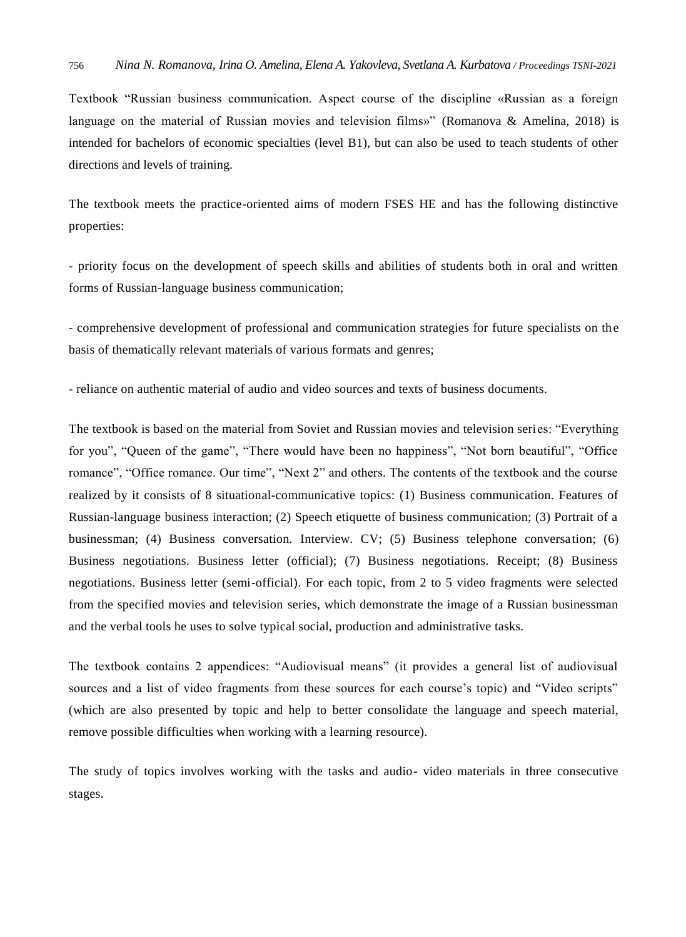Textbook "Russian business communication. Aspect course of the discipline «Russian as a foreign language on the material of Russian movies and television films»" (Romanova & Amelina, 2018) is intended for bachelors of economic specialties (level B1), but can also be used to teach students of other directions and levels of training.

The textbook meets the practice-oriented aims of modern FSES HE and has the following distinctive properties:

- priority focus on the development of speech skills and abilities of students both in oral and written forms of Russian-language business communication;

- comprehensive development of professional and communication strategies for future specialists on the basis of thematically relevant materials of various formats and genres;

- reliance on authentic material of audio and video sources and texts of business documents.

The textbook is based on the material from Soviet and Russian movies and television series: "Everything for you", "Queen of the game", "There would have been no happiness", "Not born beautiful", "Office romance", "Office romance. Our time", "Next 2" and others. The contents of the textbook and the course realized by it consists of 8 situational-communicative topics: (1) Business communication. Features of Russian-language business interaction; (2) Speech etiquette of business communication; (3) Portrait of a businessman; (4) Business conversation. Interview. CV; (5) Business telephone conversation; (6) Business negotiations. Business letter (official); (7) Business negotiations. Receipt; (8) Business negotiations. Business letter (semi-official). For each topic, from 2 to 5 video fragments were selected from the specified movies and television series, which demonstrate the image of a Russian businessman and the verbal tools he uses to solve typical social, production and administrative tasks.

The textbook contains 2 appendices: "Audiovisual means" (it provides a general list of audiovisual sources and a list of video fragments from these sources for each course's topic) and "Video scripts" (which are also presented by topic and help to better consolidate the language and speech material, remove possible difficulties when working with a learning resource).

The study of topics involves working with the tasks and audio- video materials in three consecutive stages.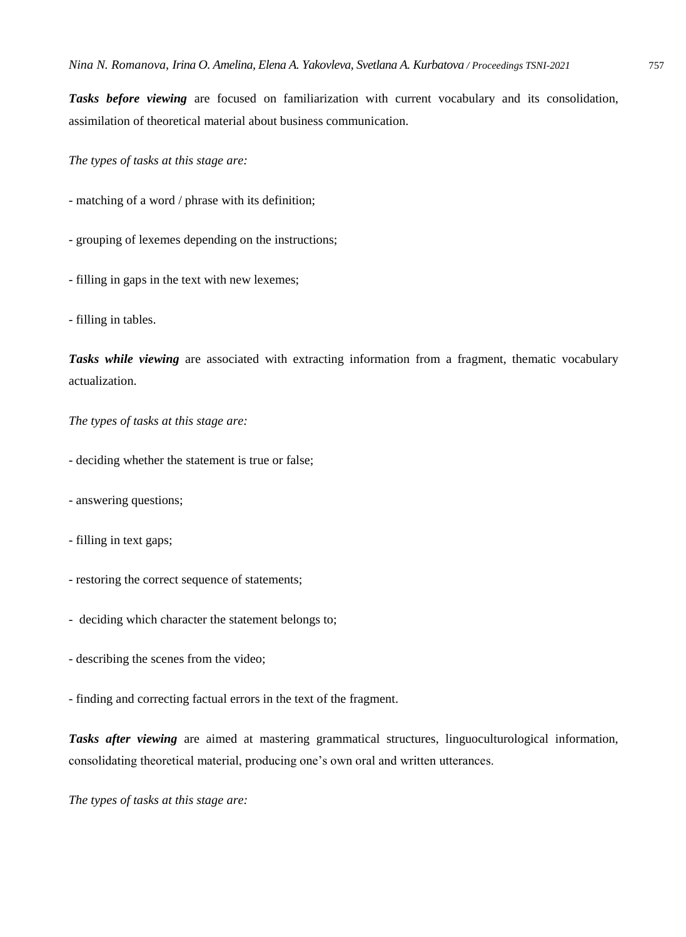*Tasks before viewing* are focused on familiarization with current vocabulary and its consolidation, assimilation of theoretical material about business communication.

*The types of tasks at this stage are:* 

- matching of a word / phrase with its definition;
- grouping of lexemes depending on the instructions;
- filling in gaps in the text with new lexemes;
- filling in tables.

*Tasks while viewing* are associated with extracting information from a fragment, thematic vocabulary actualization.

*The types of tasks at this stage are:* 

- deciding whether the statement is true or false;
- answering questions;
- filling in text gaps;
- restoring the correct sequence of statements;
- deciding which character the statement belongs to;
- describing the scenes from the video;
- finding and correcting factual errors in the text of the fragment.

*Tasks after viewing* are aimed at mastering grammatical structures, linguoculturological information, consolidating theoretical material, producing one's own oral and written utterances.

*The types of tasks at this stage are:*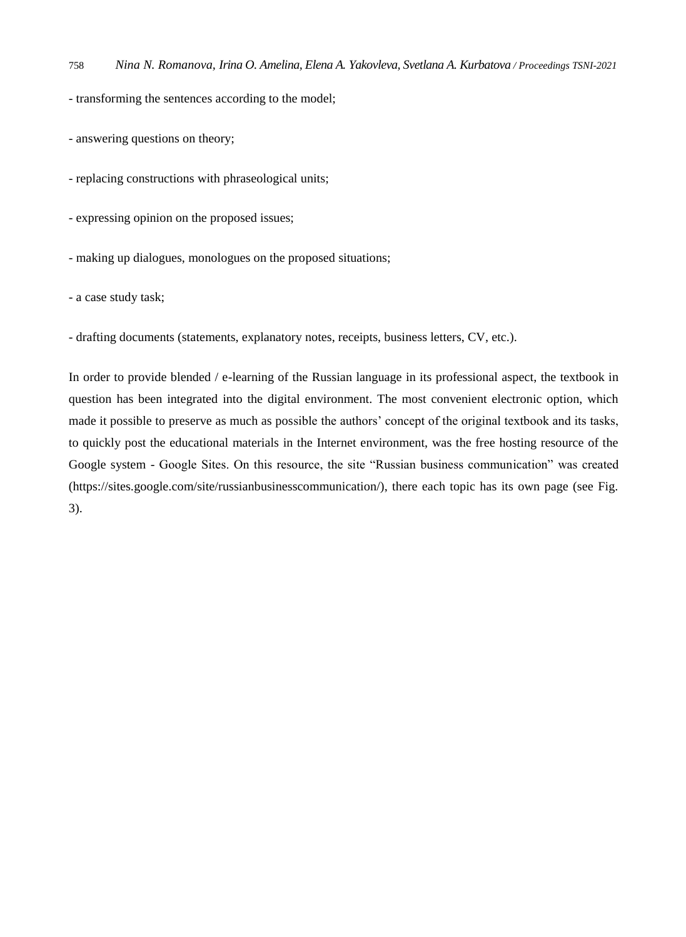- transforming the sentences according to the model;

- answering questions on theory;

- replacing constructions with phraseological units;

- expressing opinion on the proposed issues;

- making up dialogues, monologues on the proposed situations;

- a case study task;

- drafting documents (statements, explanatory notes, receipts, business letters, CV, etc.).

In order to provide blended / e-learning of the Russian language in its professional aspect, the textbook in question has been integrated into the digital environment. The most convenient electronic option, which made it possible to preserve as much as possible the authors' concept of the original textbook and its tasks, to quickly post the educational materials in the Internet environment, was the free hosting resource of the Google system - Google Sites. On this resource, the site "Russian business communication" was created (https://sites.google.com/site/russianbusinesscommunication/), there each topic has its own page (see Fig. 3).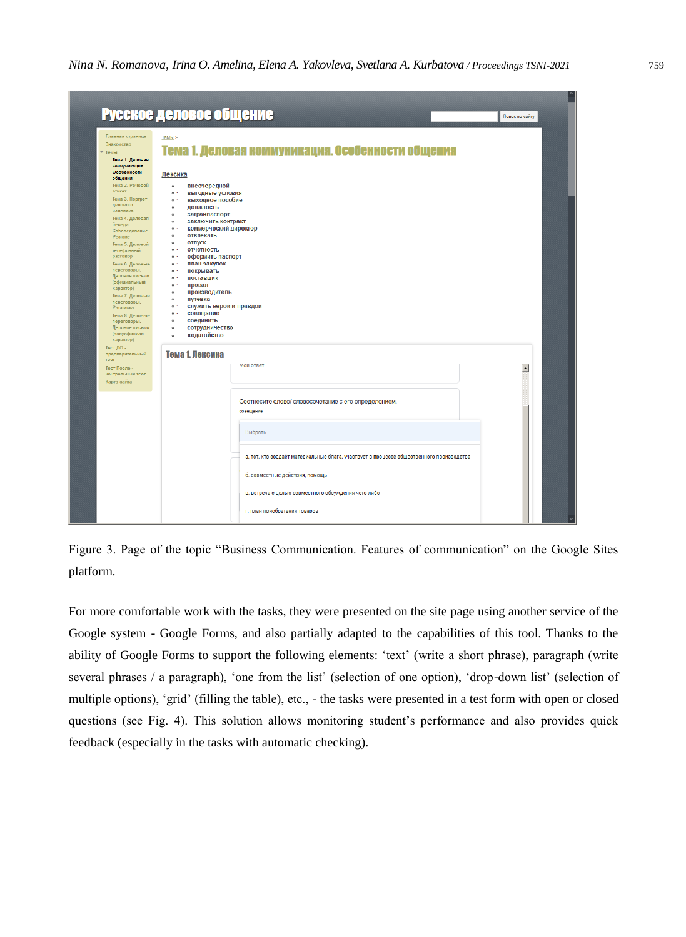|                                                                                                                                                                                                                                                                                                          | Русское деловое общение                                                                                                                                                                                                                                                                                                                                                                   |                                                                                                    |                  |
|----------------------------------------------------------------------------------------------------------------------------------------------------------------------------------------------------------------------------------------------------------------------------------------------------------|-------------------------------------------------------------------------------------------------------------------------------------------------------------------------------------------------------------------------------------------------------------------------------------------------------------------------------------------------------------------------------------------|----------------------------------------------------------------------------------------------------|------------------|
| Главная страница<br>Знакомство<br>▼ Темы<br>Тема 1. Деловая<br>коммуникация.<br>Особенности<br>общения<br>Тема 2. Речевой<br>этикет<br>Тема 3. Портрет<br>делового<br>человека<br>Тема 4. Деловая<br>беседа.<br>Собеседование.<br>Резюме<br>Тема 5. Деловой<br>телефонный<br>разговор<br>Тема 6. Деловые | Tembl<br>Лексика<br>внеочередной<br>$\circ$ .<br>выгодные условия<br>$\circ$ .<br>выходное пособие<br>$0$ $\cdot$<br>должность<br>$0$ $\cdot$<br>загранпаспорт<br>$0$ $\cdot$<br>$0$ .<br>заключить контракт<br>$0$ .<br>коммерческий директор<br>0 <sup>1</sup><br>отвлекать<br>$0$ .<br>отпуск<br>отчетность<br>$0$ .<br>оформить паспорт<br>$0$ $\cdot$<br>план закупок<br>$0$ $\cdot$ | Тема 1. Деловая коммуникация. Особенности общения                                                  |                  |
| переговоры.<br>Деловое письмо<br>(официальный<br>характер)<br>Тема 7. Деловые<br>переговоры.<br>Расписка<br>Тема 8. Деловые<br>переговоры.<br>Деловое письмо<br>(полуофициал<br>характер)<br>Тест ДО -<br>предварительный<br>recr<br>Тест После -                                                        | $0$ $\cdot$<br>покрывать<br>поставщик<br>$0$ $\cdot$<br>провал<br>$0$ .<br>производитель<br>$0$ .<br>путёвка<br>$0$ .<br>служить верой и правдой<br>$0$ .<br>совещание<br>$0$ $\cdot$<br>соединить<br>$0$ $\cdot$<br>сотрудничество<br>$0$ .<br>ходатайство<br>$\circ$ .<br>Тема 1. Лексика                                                                                               | мои ответ                                                                                          | $\blacktriangle$ |
| контрольный тест<br>Карта сайта                                                                                                                                                                                                                                                                          |                                                                                                                                                                                                                                                                                                                                                                                           | Соотнесите слово/ словосочетание с его определением.<br>совещание                                  |                  |
|                                                                                                                                                                                                                                                                                                          |                                                                                                                                                                                                                                                                                                                                                                                           | Выбрать<br>а. тот, кто создаёт материальные блага, участвует в процессе общественного производства |                  |
|                                                                                                                                                                                                                                                                                                          |                                                                                                                                                                                                                                                                                                                                                                                           | б. совместные действия, помощь                                                                     |                  |

Figure 3. Page of the topic "Business Communication. Features of communication" on the Google Sites platform.

For more comfortable work with the tasks, they were presented on the site page using another service of the Google system - Google Forms, and also partially adapted to the capabilities of this tool. Thanks to the ability of Google Forms to support the following elements: 'text' (write a short phrase), paragraph (write several phrases / a paragraph), 'one from the list' (selection of one option), 'drop-down list' (selection of multiple options), 'grid' (filling the table), etc., - the tasks were presented in a test form with open or closed questions (see Fig. 4). This solution allows monitoring student's performance and also provides quick feedback (especially in the tasks with automatic checking).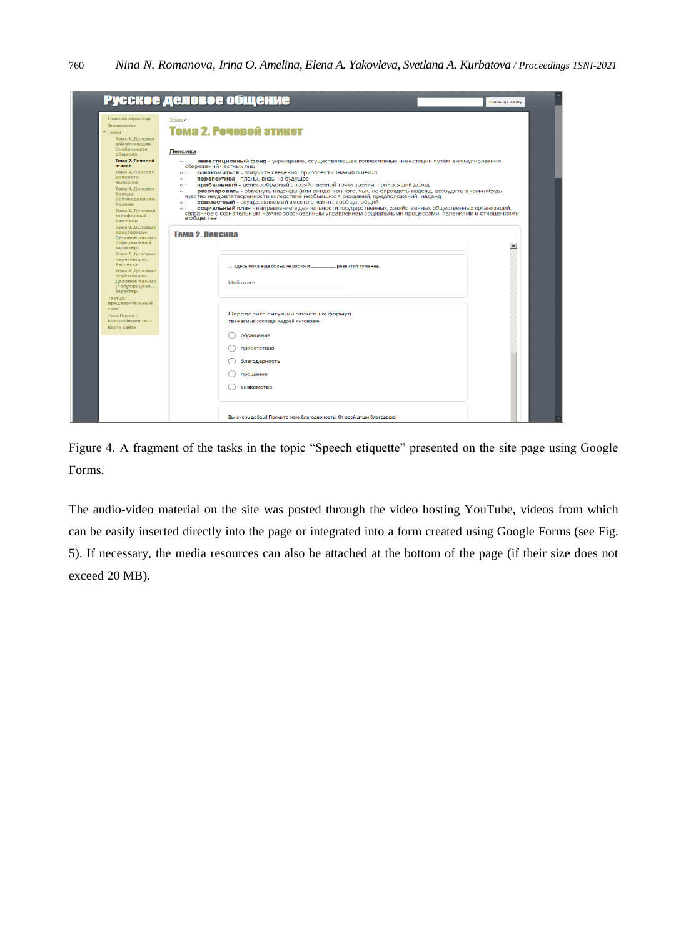|                                                                                                                                                                                                                                                                                          | Русское деловое общение                                                                                                                                                                                                                                                                                                                                   |                                                                                                                                                                                                                                                                                                                                                                                                                                                                                                                                                                                                  | Поиск по сайту  |
|------------------------------------------------------------------------------------------------------------------------------------------------------------------------------------------------------------------------------------------------------------------------------------------|-----------------------------------------------------------------------------------------------------------------------------------------------------------------------------------------------------------------------------------------------------------------------------------------------------------------------------------------------------------|--------------------------------------------------------------------------------------------------------------------------------------------------------------------------------------------------------------------------------------------------------------------------------------------------------------------------------------------------------------------------------------------------------------------------------------------------------------------------------------------------------------------------------------------------------------------------------------------------|-----------------|
| Главная страница<br>Знакометво<br>$T$ Templ<br>Тема 1. Деловая<br>коммуникация.<br>Особенности<br>общения<br>Тема 2. Речевой<br>этикет<br>Тема 3. Портрет<br>делового<br>человека<br>Тема 4. Деловая<br>беседа.<br>Собеседование.<br>Резюме<br>Тема 5. Деловой<br>телефонный<br>разговор | Темы ><br>Тема 2. Речевой этикет<br>Лексика<br>$\circ$ .<br>сбережений частных лиц<br>ознакомиться - получить сведения, приобрести знания о чем-л.<br>$\circ$ .<br>перспектива - планы, виды на будущее<br>$\circ$ .<br>$\circ$ .<br>0 <sup>1</sup><br>совместный - осуществляемый вместе с кем-л., сообща; общий<br>$\circ$ .<br>$\circ$ .<br>в обществе | инвестиционный фонд - учреждение, осуществляющее коллективные инвестиции путём аккумулирования<br>прибыльный - целесообразный с хозяйственной точки зрения, приносящий доход<br>разочаровать - обмануть надежды (или ожидания) кого, чьи, не оправдать надежд, возбудить в ком-нибудь<br>чувство неудовлетворенности вследствие несбывшихся ожиданий, предположений, надежд<br>социальный план - направление в деятельности государственных, хозяйственных общественных организаций,<br>связанное с сознательным научно обоснованным управлением социальными процессами, явлениями и отношениями |                 |
| Тема 6. Деловые<br>переговоры.<br>Деловое письмо<br>(официальный<br>характер)<br>Тема 7. Деловые<br>переговоры.<br>Расписка<br>Тема 8. Деловые<br>переговоры.<br>Деловое письмо<br>(полуофициал<br>характер)                                                                             | Тема 2. Пексика<br>7. Здесь пока ещё большие риски и _________ развития туманна.<br>Мой ответ                                                                                                                                                                                                                                                             |                                                                                                                                                                                                                                                                                                                                                                                                                                                                                                                                                                                                  | $\vert$ $\vert$ |
| Тест ДО<br>предварительный<br>TRCT<br>Тест После -<br>контрольный тест<br>Карта сайта                                                                                                                                                                                                    | Определите ситуации этикетных формул.<br>Уважаемые господа! Андрей Антонович!<br>обращение<br>приветствие<br>благодарность<br>прощание<br>знакомство                                                                                                                                                                                                      |                                                                                                                                                                                                                                                                                                                                                                                                                                                                                                                                                                                                  |                 |
|                                                                                                                                                                                                                                                                                          | Вы очень добры! Примите мою благодарность! От всей души благодарю!                                                                                                                                                                                                                                                                                        |                                                                                                                                                                                                                                                                                                                                                                                                                                                                                                                                                                                                  |                 |

Figure 4. A fragment of the tasks in the topic "Speech etiquette" presented on the site page using Google Forms.

The audio-video material on the site was posted through the video hosting YouTube, videos from which can be easily inserted directly into the page or integrated into a form created using Google Forms (see Fig. 5). If necessary, the media resources can also be attached at the bottom of the page (if their size does not exceed 20 MB).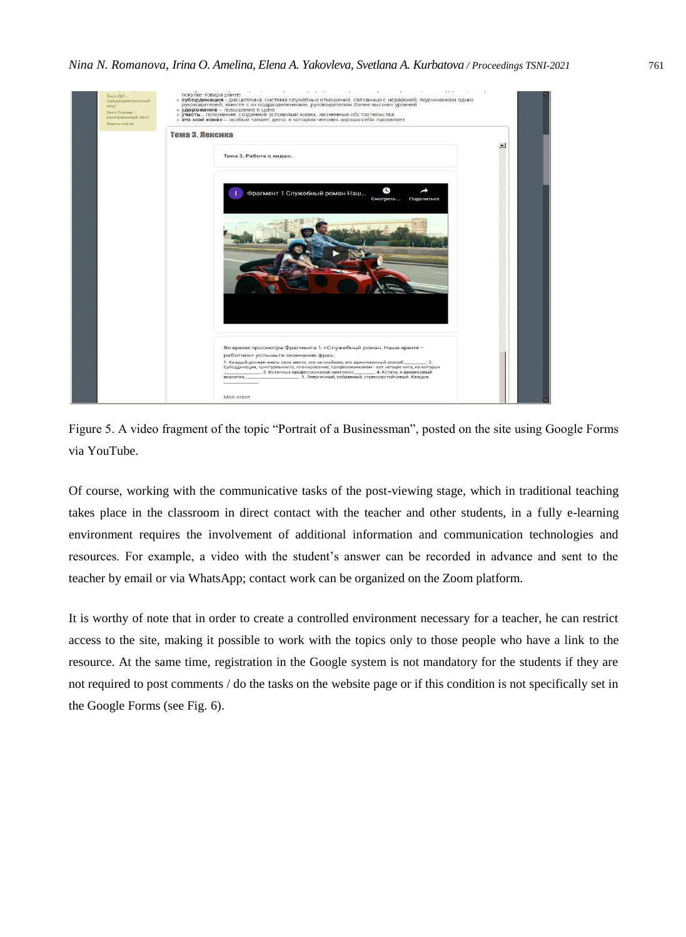



Of course, working with the communicative tasks of the post-viewing stage, which in traditional teaching takes place in the classroom in direct contact with the teacher and other students, in a fully e-learning environment requires the involvement of additional information and communication technologies and resources. For example, a video with the student's answer can be recorded in advance and sent to the teacher by email or via WhatsApp; contact work can be organized on the Zoom platform.

It is worthy of note that in order to create a controlled environment necessary for a teacher, he can restrict access to the site, making it possible to work with the topics only to those people who have a link to the resource. At the same time, registration in the Google system is not mandatory for the students if they are not required to post comments / do the tasks on the website page or if this condition is not specifically set in the Google Forms (see Fig. 6).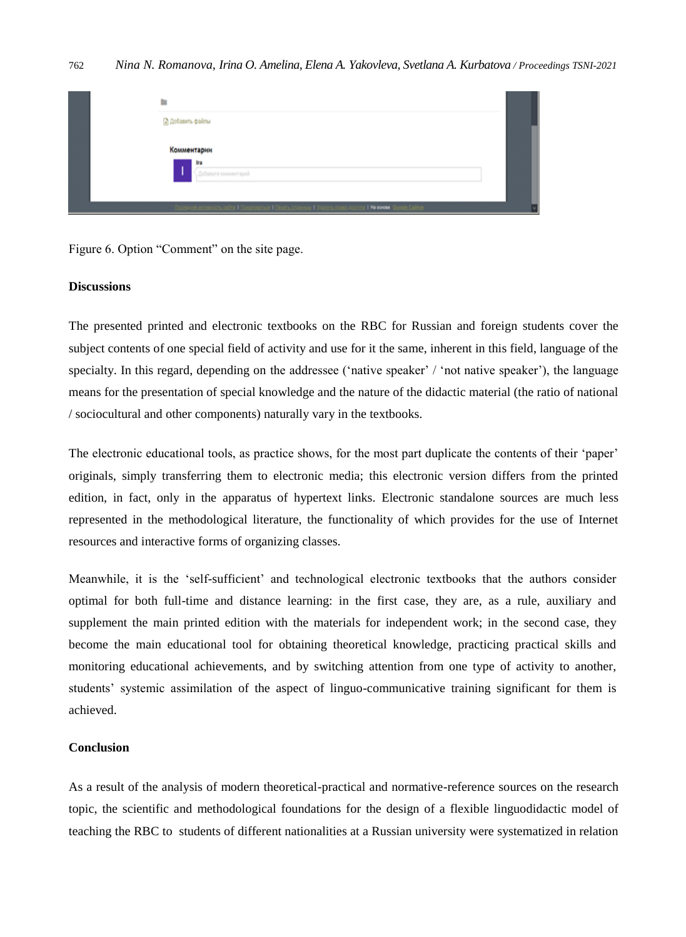| m                                                                                                                   |  |
|---------------------------------------------------------------------------------------------------------------------|--|
| В Добавить файлы                                                                                                    |  |
| Комментарии                                                                                                         |  |
| ira<br>Добавьте комментарий                                                                                         |  |
| Coorseen ameleoth, gains I Rosangamidt I Beam, croevous I Yaanm, noasp aggrups I Na colore<br><b>Donale Califon</b> |  |

Figure 6. Option "Comment" on the site page.

# **Discussions**

The presented printed and electronic textbooks on the RBC for Russian and foreign students cover the subject contents of one special field of activity and use for it the same, inherent in this field, language of the specialty. In this regard, depending on the addressee ('native speaker' / 'not native speaker'), the language means for the presentation of special knowledge and the nature of the didactic material (the ratio of national / sociocultural and other components) naturally vary in the textbooks.

The electronic educational tools, as practice shows, for the most part duplicate the contents of their 'paper' originals, simply transferring them to electronic media; this electronic version differs from the printed edition, in fact, only in the apparatus of hypertext links. Electronic standalone sources are much less represented in the methodological literature, the functionality of which provides for the use of Internet resources and interactive forms of organizing classes.

Meanwhile, it is the 'self-sufficient' and technological electronic textbooks that the authors consider optimal for both full-time and distance learning: in the first case, they are, as a rule, auxiliary and supplement the main printed edition with the materials for independent work; in the second case, they become the main educational tool for obtaining theoretical knowledge, practicing practical skills and monitoring educational achievements, and by switching attention from one type of activity to another, students' systemic assimilation of the aspect of linguo-communicative training significant for them is achieved.

### **Conclusion**

As a result of the analysis of modern theoretical-practical and normative-reference sources on the research topic, the scientific and methodological foundations for the design of a flexible linguodidactic model of teaching the RBC to students of different nationalities at a Russian university were systematized in relation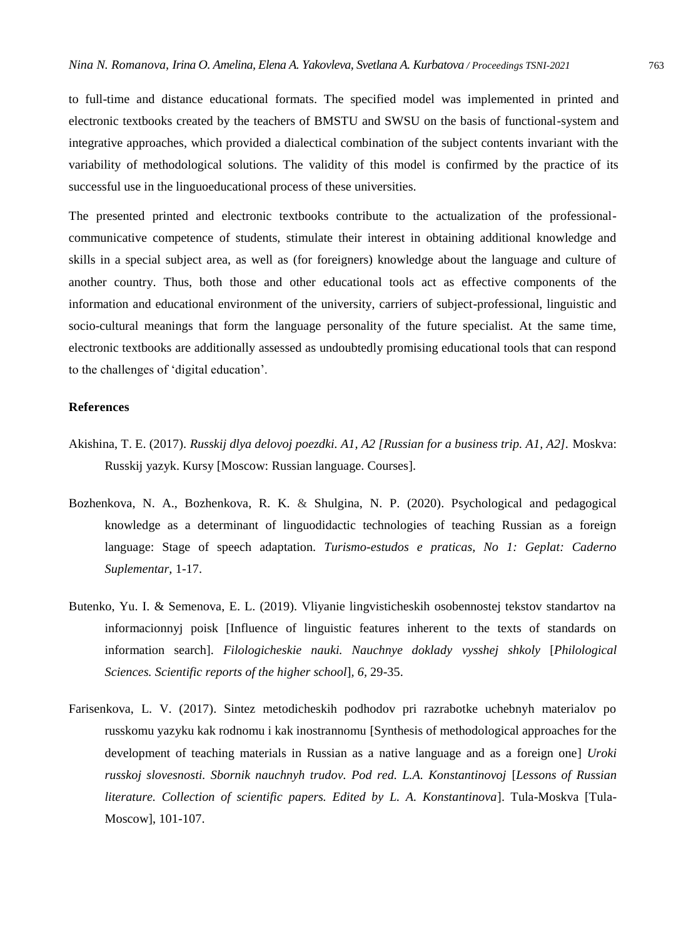to full-time and distance educational formats. The specified model was implemented in printed and electronic textbooks created by the teachers of BMSTU and SWSU on the basis of functional-system and integrative approaches, which provided a dialectical combination of the subject contents invariant with the variability of methodological solutions. The validity of this model is confirmed by the practice of its successful use in the linguoeducational process of these universities.

The presented printed and electronic textbooks contribute to the actualization of the professionalcommunicative competence of students, stimulate their interest in obtaining additional knowledge and skills in a special subject area, as well as (for foreigners) knowledge about the language and culture of another country. Thus, both those and other educational tools act as effective components of the information and educational environment of the university, carriers of subject-professional, linguistic and socio-cultural meanings that form the language personality of the future specialist. At the same time, electronic textbooks are additionally assessed as undoubtedly promising educational tools that can respond to the challenges of 'digital education'.

# **References**

- Akishina, T. E. (2017). *Russkij dlya delovoj poezdki. A1, A2 [Russian for a business trip. A1, A2].* Moskva: Russkij yazyk. Kursy [Moscow: Russian language. Courses].
- Bozhenkova, N. A., Bozhenkova, R. K. & Shulgina, N. P. (2020). Psychological and pedagogical knowledge as a determinant of linguodidactic technologies of teaching Russian as a foreign language: Stage of speech adaptation. *Turismo-estudos e praticas, No 1: Geplat: Caderno Suplementar,* 1-17.
- Butenko, Yu. I. & Semenova, E. L. (2019). Vliyanie lingvisticheskih osobennostej tekstov standartov na informacionnyj poisk [Influence of linguistic features inherent to the texts of standards on information search]. *Filologicheskie nauki. Nauchnye doklady vysshej shkoly* [*Philological Sciences. Scientific reports of the higher school*]*, 6,* 29-35.
- Farisenkova, L. V. (2017). Sintez metodicheskih podhodov pri razrabotke uchebnyh materialov po russkomu yazyku kak rodnomu i kak inostrannomu [Synthesis of methodological approaches for the development of teaching materials in Russian as a native language and as a foreign one] *Uroki russkoj slovesnosti. Sbornik nauchnyh trudov. Pod red. L.A. Konstantinovoj* [*Lessons of Russian literature. Collection of scientific papers. Edited by L. A. Konstantinova*]. Tula-Moskva [Tula-Moscow], 101-107.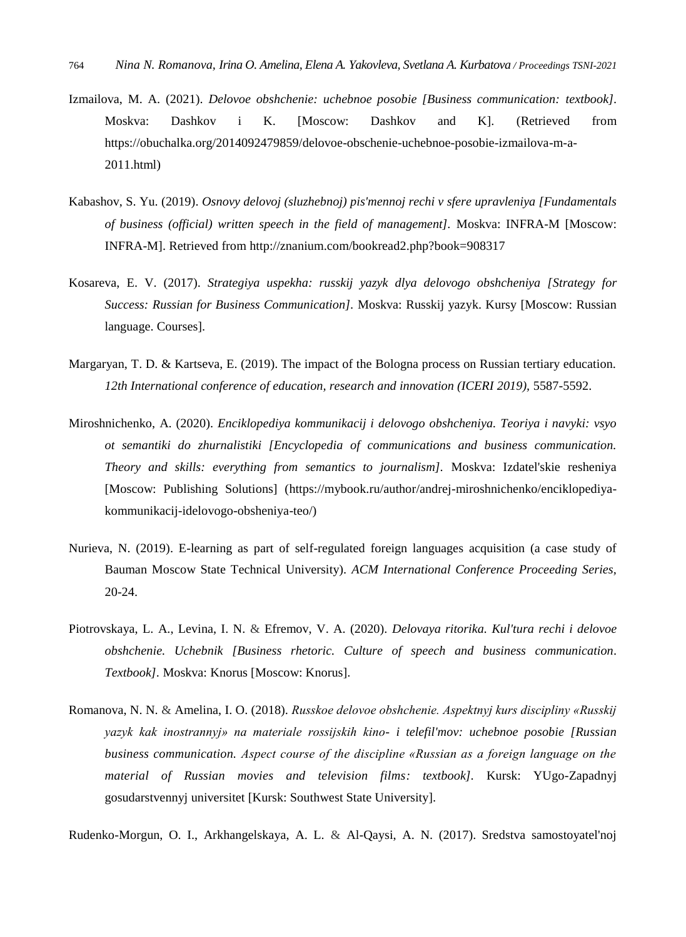- Izmailova, M. A. (2021). *Delovoe obshchenie: uchebnoe posobie [Business communication: textbook].* Moskva: Dashkov i K. [Moscow: Dashkov and K]. (Retrieved from https://obuchalka.org/2014092479859/delovoe-obschenie-uchebnoe-posobie-izmailova-m-a-2011.html)
- Kabashov, S. Yu. (2019). *Osnovy delovoj (sluzhebnoj) pis'mennoj rechi v sfere upravleniya [Fundamentals of business (official) written speech in the field of management].* Moskva: INFRA-M [Moscow: INFRA-M]. Retrieved from<http://znanium.com/bookread2.php?book=908317>
- Kosareva, E. V. (2017). *Strategiya uspekha: russkij yazyk dlya delovogo obshcheniya [Strategy for Success: Russian for Business Communication].* Moskva: Russkij yazyk. Kursy [Moscow: Russian language. Courses].
- Margaryan, T. D. & Kartseva, E. (2019). The impact of the Bologna process on Russian tertiary education. 12th International conference of education, research and innovation (ICERI 2019), 5587-5592.
- Miroshnichenko, A. (2020). *Enciklopediya kommunikacij i delovogo obshcheniya. Teoriya i navyki: vsyo ot semantiki do zhurnalistiki [Encyclopedia of communications and business communication. Theory and skills: everything from semantics to journalism].* Moskva: Izdatel'skie resheniya [Moscow: Publishing Solutions] [\(https://mybook.ru/author/andrej-miroshnichenko/enciklopediya](https://mybook.ru/author/andrej-miroshnichenko/enciklopediya-kommunikacij-idelovogo-obsheniya-teo/)[kommunikacij-idelovogo-obsheniya-teo/\)](https://mybook.ru/author/andrej-miroshnichenko/enciklopediya-kommunikacij-idelovogo-obsheniya-teo/)
- Nurieva, N. (2019). E-learning as part of self-regulated foreign languages acquisition (a case study of Bauman Moscow State Technical University). *ACM International Conference Proceeding Series,*  20-24.
- Piotrovskaya, L. A., Levina, I. N. & Efremov, V. A. (2020). *Delovaya ritorika. Kul'tura rechi i delovoe obshchenie. Uchebnik [Business rhetoric. Culture of speech and business communication. Textbook].* Moskva: Knorus [Moscow: Knorus].
- Romanova, N. N. & Amelina, I. O. (2018). *Russkoe delovoe obshchenie. Aspektnyj kurs discipliny «Russkij yazyk kak inostrannyj» na materiale rossijskih kino- i telefil'mov: uchebnoe posobie [Russian business communication. Aspect course of the discipline «Russian as a foreign language on the material of Russian movies and television films: textbook].* Kursk: YUgo-Zapadnyj gosudarstvennyj universitet [Kursk: Southwest State University].

Rudenko-Morgun, O. I., Arkhangelskaya, A. L. & Al-Qaysi, A. N. (2017). Sredstva samostoyatel'noj